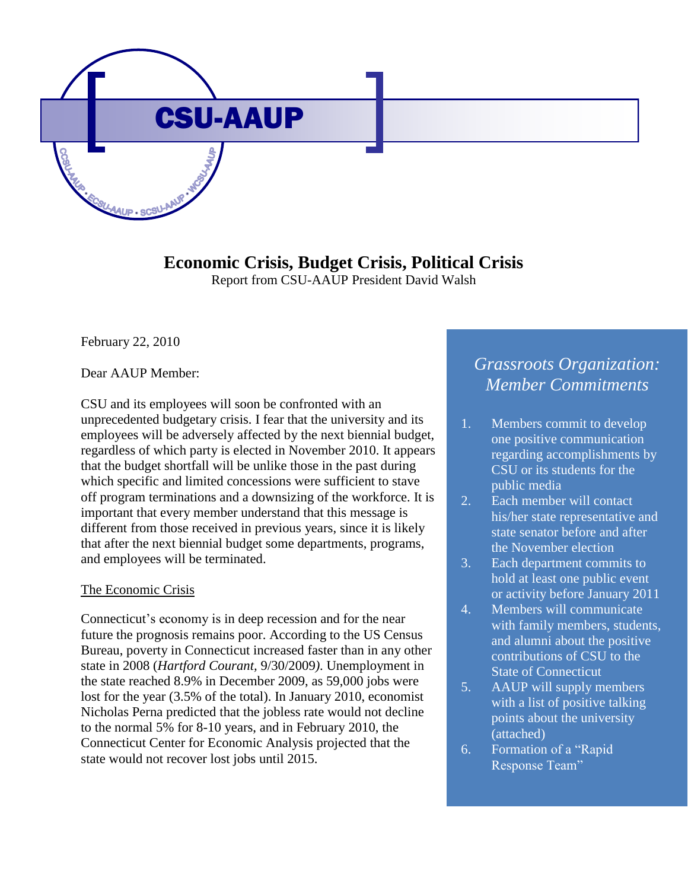

# **Economic Crisis, Budget Crisis, Political Crisis**

Report from CSU-AAUP President David Walsh

February 22, 2010

### Dear AAUP Member:

CSU and its employees will soon be confronted with an unprecedented budgetary crisis. I fear that the university and its employees will be adversely affected by the next biennial budget, regardless of which party is elected in November 2010. It appears that the budget shortfall will be unlike those in the past during which specific and limited concessions were sufficient to stave off program terminations and a downsizing of the workforce. It is important that every member understand that this message is different from those received in previous years, since it is likely that after the next biennial budget some departments, programs, and employees will be terminated.

### The Economic Crisis

Connecticut's economy is in deep recession and for the near future the prognosis remains poor. According to the US Census Bureau, poverty in Connecticut increased faster than in any other state in 2008 (*Hartford Courant,* 9/30/2009*)*. Unemployment in the state reached 8.9% in December 2009, as 59,000 jobs were lost for the year (3.5% of the total). In January 2010, economist Nicholas Perna predicted that the jobless rate would not decline to the normal 5% for 8-10 years, and in February 2010, the Connecticut Center for Economic Analysis projected that the state would not recover lost jobs until 2015.

## *Grassroots Organization: Member Commitments*

- 1. Members commit to develop one positive communication regarding accomplishments by CSU or its students for the public media
- 2. Each member will contact his/her state representative and state senator before and after the November election
- 3. Each department commits to hold at least one public event or activity before January 2011
- 4. Members will communicate with family members, students, and alumni about the positive contributions of CSU to the State of Connecticut
- 5. AAUP will supply members with a list of positive talking points about the university (attached)
- 6. Formation of a "Rapid Response Team"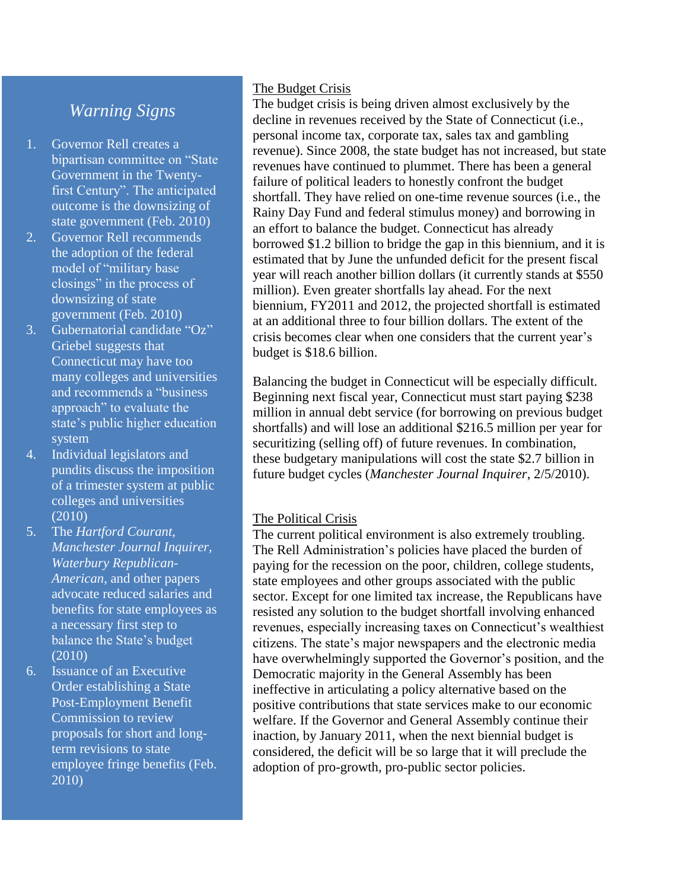### *Warning Signs*

- 1. Governor Rell creates a bipartisan committee on "State Government in the Twentyfirst Century". The anticipated outcome is the downsizing of state government (Feb. 2010)
- 2. Governor Rell recommends the adoption of the federal model of "military base closings" in the process of downsizing of state government (Feb. 2010)
- 3. Gubernatorial candidate "Oz" Griebel suggests that Connecticut may have too many colleges and universities and recommends a "business approach" to evaluate the state's public higher education system
- 4. Individual legislators and pundits discuss the imposition of a trimester system at public colleges and universities (2010)
- 5. The *Hartford Courant*, *Manchester Journal Inquirer, Waterbury Republican-American*, and other papers advocate reduced salaries and benefits for state employees as a necessary first step to balance the State's budget (2010)
- 6. Issuance of an Executive Order establishing a State Post-Employment Benefit Commission to review proposals for short and longterm revisions to state employee fringe benefits (Feb. 2010)

#### The Budget Crisis

The budget crisis is being driven almost exclusively by the decline in revenues received by the State of Connecticut (i.e., personal income tax, corporate tax, sales tax and gambling revenue). Since 2008, the state budget has not increased, but state revenues have continued to plummet. There has been a general failure of political leaders to honestly confront the budget shortfall. They have relied on one-time revenue sources (i.e., the Rainy Day Fund and federal stimulus money) and borrowing in an effort to balance the budget. Connecticut has already borrowed \$1.2 billion to bridge the gap in this biennium, and it is estimated that by June the unfunded deficit for the present fiscal year will reach another billion dollars (it currently stands at \$550 million). Even greater shortfalls lay ahead. For the next biennium, FY2011 and 2012, the projected shortfall is estimated at an additional three to four billion dollars. The extent of the crisis becomes clear when one considers that the current year's budget is \$18.6 billion.

Balancing the budget in Connecticut will be especially difficult. Beginning next fiscal year, Connecticut must start paying \$238 million in annual debt service (for borrowing on previous budget shortfalls) and will lose an additional \$216.5 million per year for securitizing (selling off) of future revenues. In combination, these budgetary manipulations will cost the state \$2.7 billion in future budget cycles (*Manchester Journal Inquirer*, 2/5/2010).

### The Political Crisis

The current political environment is also extremely troubling. The Rell Administration's policies have placed the burden of paying for the recession on the poor, children, college students, state employees and other groups associated with the public sector. Except for one limited tax increase, the Republicans have resisted any solution to the budget shortfall involving enhanced revenues, especially increasing taxes on Connecticut's wealthiest citizens. The state's major newspapers and the electronic media have overwhelmingly supported the Governor's position, and the Democratic majority in the General Assembly has been ineffective in articulating a policy alternative based on the positive contributions that state services make to our economic welfare. If the Governor and General Assembly continue their inaction, by January 2011, when the next biennial budget is considered, the deficit will be so large that it will preclude the adoption of pro-growth, pro-public sector policies.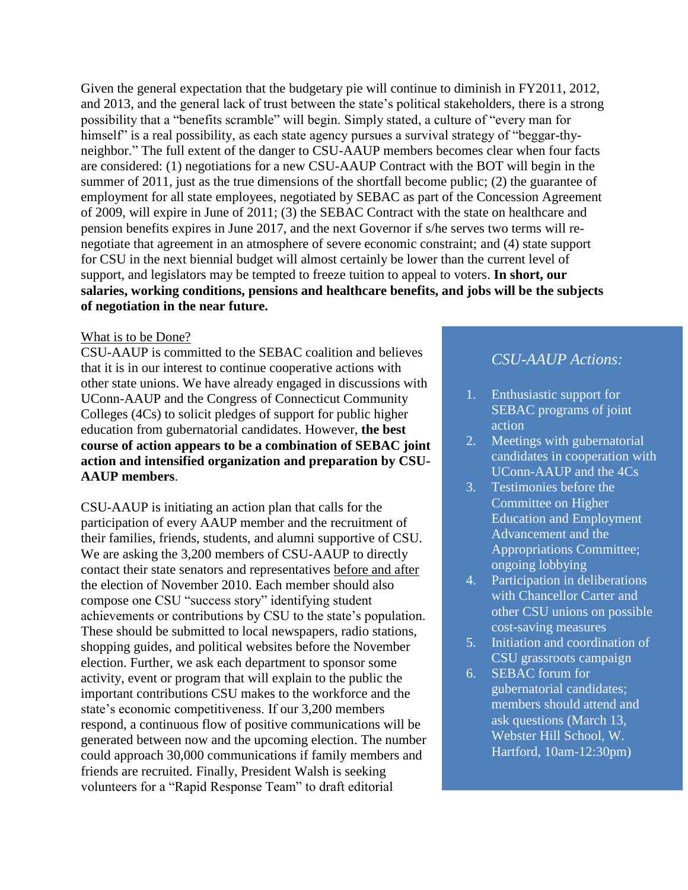Given the general expectation that the budgetary pie will continue to diminish in FY2011, 2012, and 2013, and the general lack of trust between the state's political stakeholders, there is a strong possibility that a "benefits scramble" will begin. Simply stated, a culture of "every man for himself" is a real possibility, as each state agency pursues a survival strategy of "beggar-thyneighbor." The full extent of the danger to CSU-AAUP members becomes clear when four facts are considered: (1) negotiations for a new CSU-AAUP Contract with the BOT will begin in the summer of 2011, just as the true dimensions of the shortfall become public; (2) the guarantee of employment for all state employees, negotiated by SEBAC as part of the Concession Agreement of 2009, will expire in June of 2011; (3) the SEBAC Contract with the state on healthcare and pension benefits expires in June 2017, and the next Governor if s/he serves two terms will renegotiate that agreement in an atmosphere of severe economic constraint; and (4) state support for CSU in the next biennial budget will almost certainly be lower than the current level of support, and legislators may be tempted to freeze tuition to appeal to voters. **In short, our salaries, working conditions, pensions and healthcare benefits, and jobs will be the subjects of negotiation in the near future.**

#### What is to be Done?

CSU-AAUP is committed to the SEBAC coalition and believes that it is in our interest to continue cooperative actions with other state unions. We have already engaged in discussions with UConn-AAUP and the Congress of Connecticut Community Colleges (4Cs) to solicit pledges of support for public higher education from gubernatorial candidates. However, **the best course of action appears to be a combination of SEBAC joint action and intensified organization and preparation by CSU-AAUP members**.

CSU-AAUP is initiating an action plan that calls for the participation of every AAUP member and the recruitment of their families, friends, students, and alumni supportive of CSU. We are asking the 3,200 members of CSU-AAUP to directly contact their state senators and representatives before and after the election of November 2010. Each member should also compose one CSU "success story" identifying student achievements or contributions by CSU to the state's population. These should be submitted to local newspapers, radio stations, shopping guides, and political websites before the November election. Further, we ask each department to sponsor some activity, event or program that will explain to the public the important contributions CSU makes to the workforce and the state's economic competitiveness. If our 3,200 members respond, a continuous flow of positive communications will be generated between now and the upcoming election. The number could approach 30,000 communications if family members and friends are recruited. Finally, President Walsh is seeking volunteers for a "Rapid Response Team" to draft editorial

### *CSU-AAUP Actions:*

- 1. Enthusiastic support for SEBAC programs of joint action
- 2. Meetings with gubernatorial candidates in cooperation with UConn-AAUP and the 4Cs
- 3. Testimonies before the Committee on Higher Education and Employment Advancement and the Appropriations Committee; ongoing lobbying
- 4. Participation in deliberations with Chancellor Carter and other CSU unions on possible cost-saving measures
- 5. Initiation and coordination of CSU grassroots campaign
- 6. SEBAC forum for gubernatorial candidates; members should attend and ask questions (March 13, Webster Hill School, W. Hartford, 10am-12:30pm)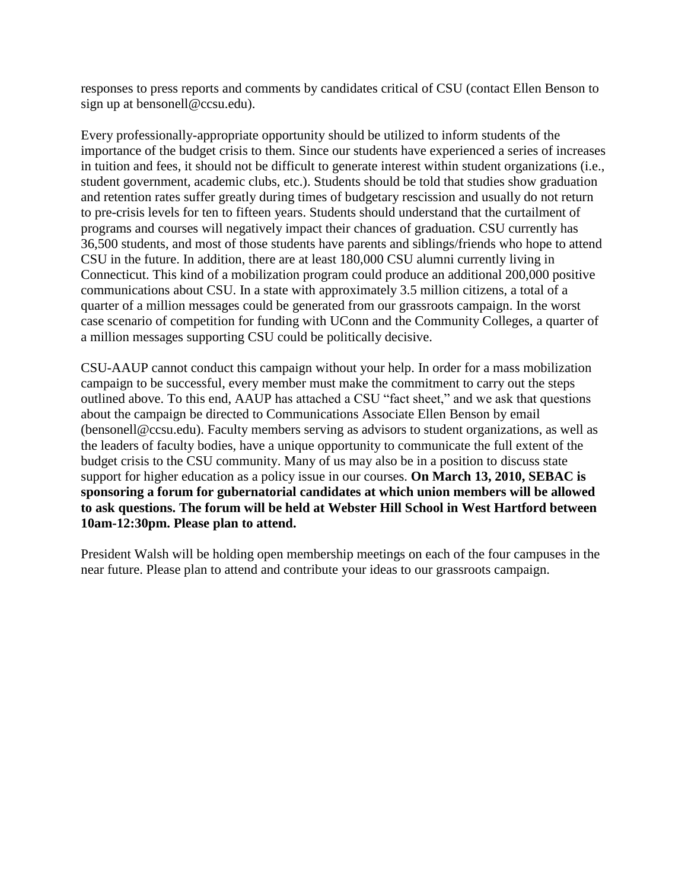responses to press reports and comments by candidates critical of CSU (contact Ellen Benson to sign up at bensonell@ccsu.edu).

Every professionally-appropriate opportunity should be utilized to inform students of the importance of the budget crisis to them. Since our students have experienced a series of increases in tuition and fees, it should not be difficult to generate interest within student organizations (i.e., student government, academic clubs, etc.). Students should be told that studies show graduation and retention rates suffer greatly during times of budgetary rescission and usually do not return to pre-crisis levels for ten to fifteen years. Students should understand that the curtailment of programs and courses will negatively impact their chances of graduation. CSU currently has 36,500 students, and most of those students have parents and siblings/friends who hope to attend CSU in the future. In addition, there are at least 180,000 CSU alumni currently living in Connecticut. This kind of a mobilization program could produce an additional 200,000 positive communications about CSU. In a state with approximately 3.5 million citizens, a total of a quarter of a million messages could be generated from our grassroots campaign. In the worst case scenario of competition for funding with UConn and the Community Colleges, a quarter of a million messages supporting CSU could be politically decisive.

CSU-AAUP cannot conduct this campaign without your help. In order for a mass mobilization campaign to be successful, every member must make the commitment to carry out the steps outlined above. To this end, AAUP has attached a CSU "fact sheet," and we ask that questions about the campaign be directed to Communications Associate Ellen Benson by email (bensonell@ccsu.edu). Faculty members serving as advisors to student organizations, as well as the leaders of faculty bodies, have a unique opportunity to communicate the full extent of the budget crisis to the CSU community. Many of us may also be in a position to discuss state support for higher education as a policy issue in our courses. **On March 13, 2010, SEBAC is sponsoring a forum for gubernatorial candidates at which union members will be allowed to ask questions. The forum will be held at Webster Hill School in West Hartford between 10am-12:30pm. Please plan to attend.** 

President Walsh will be holding open membership meetings on each of the four campuses in the near future. Please plan to attend and contribute your ideas to our grassroots campaign.